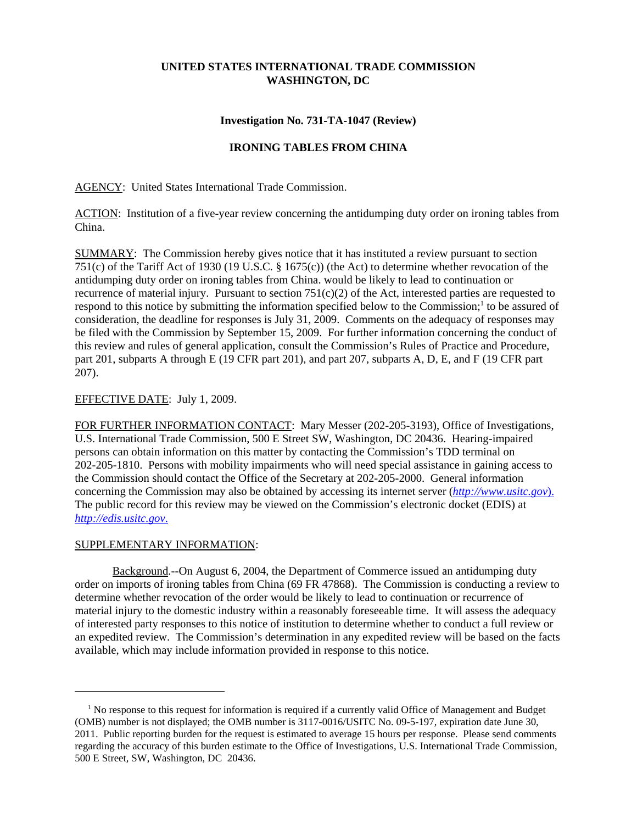# **UNITED STATES INTERNATIONAL TRADE COMMISSION WASHINGTON, DC**

### **Investigation No. 731-TA-1047 (Review)**

## **IRONING TABLES FROM CHINA**

AGENCY: United States International Trade Commission.

ACTION: Institution of a five-year review concerning the antidumping duty order on ironing tables from China.

SUMMARY: The Commission hereby gives notice that it has instituted a review pursuant to section 751(c) of the Tariff Act of 1930 (19 U.S.C. § 1675(c)) (the Act) to determine whether revocation of the antidumping duty order on ironing tables from China. would be likely to lead to continuation or recurrence of material injury. Pursuant to section  $751(c)(2)$  of the Act, interested parties are requested to respond to this notice by submitting the information specified below to the Commission;<sup>1</sup> to be assured of consideration, the deadline for responses is July 31, 2009. Comments on the adequacy of responses may be filed with the Commission by September 15, 2009. For further information concerning the conduct of this review and rules of general application, consult the Commission's Rules of Practice and Procedure, part 201, subparts A through E (19 CFR part 201), and part 207, subparts A, D, E, and F (19 CFR part 207).

### EFFECTIVE DATE: July 1, 2009.

FOR FURTHER INFORMATION CONTACT: Mary Messer (202-205-3193), Office of Investigations, U.S. International Trade Commission, 500 E Street SW, Washington, DC 20436. Hearing-impaired persons can obtain information on this matter by contacting the Commission's TDD terminal on 202-205-1810. Persons with mobility impairments who will need special assistance in gaining access to the Commission should contact the Office of the Secretary at 202-205-2000. General information concerning the Commission may also be obtained by accessing its internet server (*http://www.usitc.gov*). The public record for this review may be viewed on the Commission's electronic docket (EDIS) at *http://edis.usitc.gov*.

#### SUPPLEMENTARY INFORMATION:

Background.--On August 6, 2004, the Department of Commerce issued an antidumping duty order on imports of ironing tables from China (69 FR 47868). The Commission is conducting a review to determine whether revocation of the order would be likely to lead to continuation or recurrence of material injury to the domestic industry within a reasonably foreseeable time. It will assess the adequacy of interested party responses to this notice of institution to determine whether to conduct a full review or an expedited review. The Commission's determination in any expedited review will be based on the facts available, which may include information provided in response to this notice.

<sup>&</sup>lt;sup>1</sup> No response to this request for information is required if a currently valid Office of Management and Budget (OMB) number is not displayed; the OMB number is 3117-0016/USITC No. 09-5-197, expiration date June 30, 2011. Public reporting burden for the request is estimated to average 15 hours per response. Please send comments regarding the accuracy of this burden estimate to the Office of Investigations, U.S. International Trade Commission, 500 E Street, SW, Washington, DC 20436.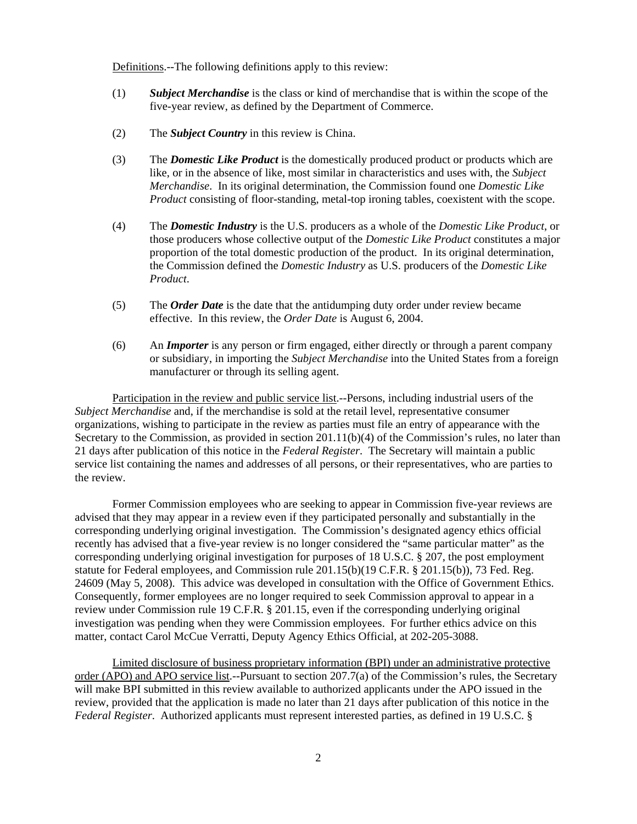Definitions.--The following definitions apply to this review:

- (1) *Subject Merchandise* is the class or kind of merchandise that is within the scope of the five-year review, as defined by the Department of Commerce.
- (2) The *Subject Country* in this review is China.
- (3) The *Domestic Like Product* is the domestically produced product or products which are like, or in the absence of like, most similar in characteristics and uses with, the *Subject Merchandise*. In its original determination, the Commission found one *Domestic Like Product* consisting of floor-standing, metal-top ironing tables, coexistent with the scope.
- (4) The *Domestic Industry* is the U.S. producers as a whole of the *Domestic Like Product*, or those producers whose collective output of the *Domestic Like Product* constitutes a major proportion of the total domestic production of the product. In its original determination, the Commission defined the *Domestic Industry* as U.S. producers of the *Domestic Like Product*.
- (5) The *Order Date* is the date that the antidumping duty order under review became effective. In this review, the *Order Date* is August 6, 2004.
- (6) An *Importer* is any person or firm engaged, either directly or through a parent company or subsidiary, in importing the *Subject Merchandise* into the United States from a foreign manufacturer or through its selling agent.

Participation in the review and public service list.--Persons, including industrial users of the *Subject Merchandise* and, if the merchandise is sold at the retail level, representative consumer organizations, wishing to participate in the review as parties must file an entry of appearance with the Secretary to the Commission, as provided in section 201.11(b)(4) of the Commission's rules, no later than 21 days after publication of this notice in the *Federal Register*. The Secretary will maintain a public service list containing the names and addresses of all persons, or their representatives, who are parties to the review.

Former Commission employees who are seeking to appear in Commission five-year reviews are advised that they may appear in a review even if they participated personally and substantially in the corresponding underlying original investigation. The Commission's designated agency ethics official recently has advised that a five-year review is no longer considered the "same particular matter" as the corresponding underlying original investigation for purposes of 18 U.S.C. § 207, the post employment statute for Federal employees, and Commission rule 201.15(b)(19 C.F.R. § 201.15(b)), 73 Fed. Reg. 24609 (May 5, 2008). This advice was developed in consultation with the Office of Government Ethics. Consequently, former employees are no longer required to seek Commission approval to appear in a review under Commission rule 19 C.F.R. § 201.15, even if the corresponding underlying original investigation was pending when they were Commission employees. For further ethics advice on this matter, contact Carol McCue Verratti, Deputy Agency Ethics Official, at 202-205-3088.

Limited disclosure of business proprietary information (BPI) under an administrative protective order (APO) and APO service list.--Pursuant to section 207.7(a) of the Commission's rules, the Secretary will make BPI submitted in this review available to authorized applicants under the APO issued in the review, provided that the application is made no later than 21 days after publication of this notice in the *Federal Register*. Authorized applicants must represent interested parties, as defined in 19 U.S.C. §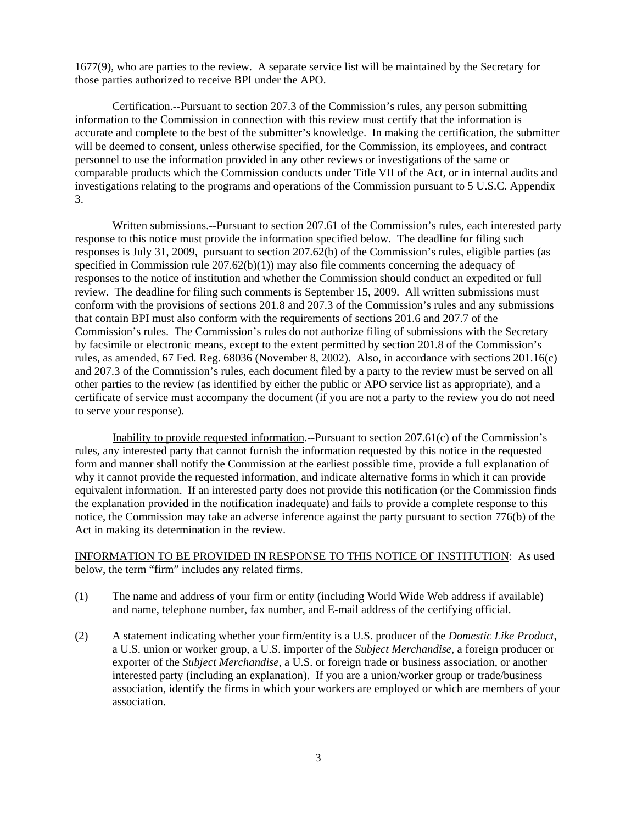1677(9), who are parties to the review. A separate service list will be maintained by the Secretary for those parties authorized to receive BPI under the APO.

Certification.--Pursuant to section 207.3 of the Commission's rules, any person submitting information to the Commission in connection with this review must certify that the information is accurate and complete to the best of the submitter's knowledge. In making the certification, the submitter will be deemed to consent, unless otherwise specified, for the Commission, its employees, and contract personnel to use the information provided in any other reviews or investigations of the same or comparable products which the Commission conducts under Title VII of the Act, or in internal audits and investigations relating to the programs and operations of the Commission pursuant to 5 U.S.C. Appendix 3.

Written submissions.--Pursuant to section 207.61 of the Commission's rules, each interested party response to this notice must provide the information specified below. The deadline for filing such responses is July 31, 2009, pursuant to section 207.62(b) of the Commission's rules, eligible parties (as specified in Commission rule  $207.62(b)(1)$  may also file comments concerning the adequacy of responses to the notice of institution and whether the Commission should conduct an expedited or full review. The deadline for filing such comments is September 15, 2009. All written submissions must conform with the provisions of sections 201.8 and 207.3 of the Commission's rules and any submissions that contain BPI must also conform with the requirements of sections 201.6 and 207.7 of the Commission's rules. The Commission's rules do not authorize filing of submissions with the Secretary by facsimile or electronic means, except to the extent permitted by section 201.8 of the Commission's rules, as amended, 67 Fed. Reg. 68036 (November 8, 2002). Also, in accordance with sections 201.16(c) and 207.3 of the Commission's rules, each document filed by a party to the review must be served on all other parties to the review (as identified by either the public or APO service list as appropriate), and a certificate of service must accompany the document (if you are not a party to the review you do not need to serve your response).

Inability to provide requested information.--Pursuant to section 207.61(c) of the Commission's rules, any interested party that cannot furnish the information requested by this notice in the requested form and manner shall notify the Commission at the earliest possible time, provide a full explanation of why it cannot provide the requested information, and indicate alternative forms in which it can provide equivalent information. If an interested party does not provide this notification (or the Commission finds the explanation provided in the notification inadequate) and fails to provide a complete response to this notice, the Commission may take an adverse inference against the party pursuant to section 776(b) of the Act in making its determination in the review.

# INFORMATION TO BE PROVIDED IN RESPONSE TO THIS NOTICE OF INSTITUTION: As used below, the term "firm" includes any related firms.

- (1) The name and address of your firm or entity (including World Wide Web address if available) and name, telephone number, fax number, and E-mail address of the certifying official.
- (2) A statement indicating whether your firm/entity is a U.S. producer of the *Domestic Like Product*, a U.S. union or worker group, a U.S. importer of the *Subject Merchandise*, a foreign producer or exporter of the *Subject Merchandise*, a U.S. or foreign trade or business association, or another interested party (including an explanation). If you are a union/worker group or trade/business association, identify the firms in which your workers are employed or which are members of your association.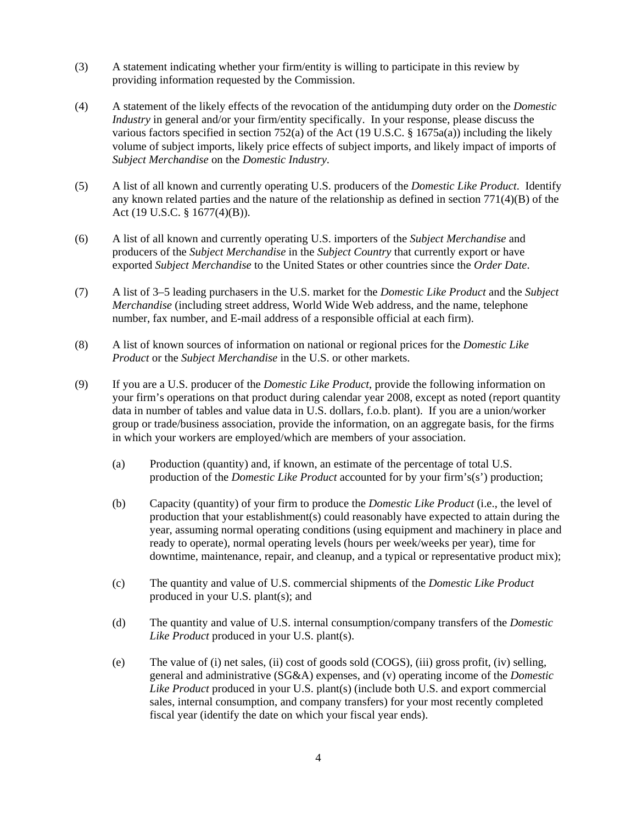- (3) A statement indicating whether your firm/entity is willing to participate in this review by providing information requested by the Commission.
- (4) A statement of the likely effects of the revocation of the antidumping duty order on the *Domestic Industry* in general and/or your firm/entity specifically. In your response, please discuss the various factors specified in section 752(a) of the Act (19 U.S.C. § 1675a(a)) including the likely volume of subject imports, likely price effects of subject imports, and likely impact of imports of *Subject Merchandise* on the *Domestic Industry*.
- (5) A list of all known and currently operating U.S. producers of the *Domestic Like Product*. Identify any known related parties and the nature of the relationship as defined in section  $771(4)(B)$  of the Act (19 U.S.C. § 1677(4)(B)).
- (6) A list of all known and currently operating U.S. importers of the *Subject Merchandise* and producers of the *Subject Merchandise* in the *Subject Country* that currently export or have exported *Subject Merchandise* to the United States or other countries since the *Order Date*.
- (7) A list of 3–5 leading purchasers in the U.S. market for the *Domestic Like Product* and the *Subject Merchandise* (including street address, World Wide Web address, and the name, telephone number, fax number, and E-mail address of a responsible official at each firm).
- (8) A list of known sources of information on national or regional prices for the *Domestic Like Product* or the *Subject Merchandise* in the U.S. or other markets.
- (9) If you are a U.S. producer of the *Domestic Like Product*, provide the following information on your firm's operations on that product during calendar year 2008, except as noted (report quantity data in number of tables and value data in U.S. dollars, f.o.b. plant). If you are a union/worker group or trade/business association, provide the information, on an aggregate basis, for the firms in which your workers are employed/which are members of your association.
	- (a) Production (quantity) and, if known, an estimate of the percentage of total U.S. production of the *Domestic Like Product* accounted for by your firm's(s') production;
	- (b) Capacity (quantity) of your firm to produce the *Domestic Like Product* (i.e., the level of production that your establishment(s) could reasonably have expected to attain during the year, assuming normal operating conditions (using equipment and machinery in place and ready to operate), normal operating levels (hours per week/weeks per year), time for downtime, maintenance, repair, and cleanup, and a typical or representative product mix);
	- (c) The quantity and value of U.S. commercial shipments of the *Domestic Like Product* produced in your U.S. plant(s); and
	- (d) The quantity and value of U.S. internal consumption/company transfers of the *Domestic Like Product* produced in your U.S. plant(s).
	- (e) The value of (i) net sales, (ii) cost of goods sold (COGS), (iii) gross profit, (iv) selling, general and administrative (SG&A) expenses, and (v) operating income of the *Domestic Like Product* produced in your U.S. plant(s) (include both U.S. and export commercial sales, internal consumption, and company transfers) for your most recently completed fiscal year (identify the date on which your fiscal year ends).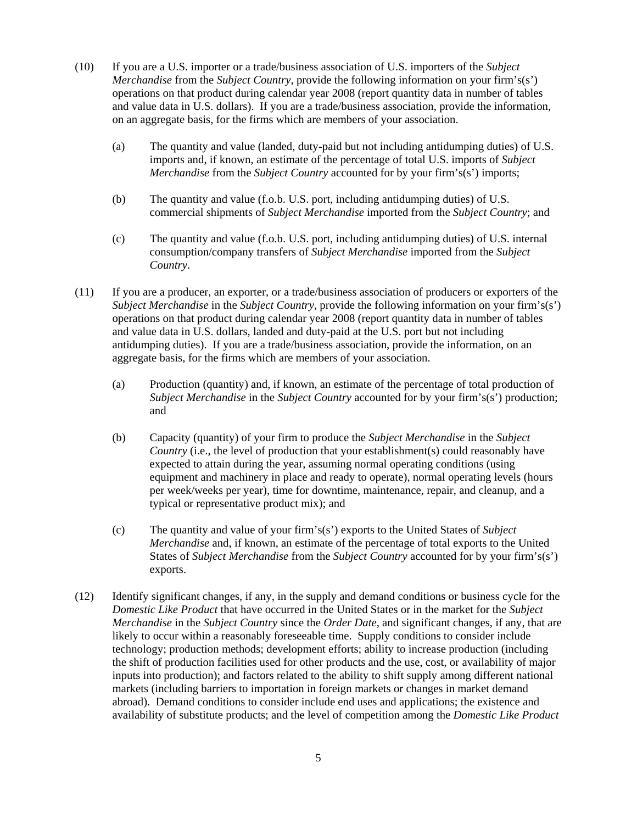- (10) If you are a U.S. importer or a trade/business association of U.S. importers of the *Subject Merchandise* from the *Subject Country*, provide the following information on your firm's(s') operations on that product during calendar year 2008 (report quantity data in number of tables and value data in U.S. dollars). If you are a trade/business association, provide the information, on an aggregate basis, for the firms which are members of your association.
	- (a) The quantity and value (landed, duty-paid but not including antidumping duties) of U.S. imports and, if known, an estimate of the percentage of total U.S. imports of *Subject Merchandise* from the *Subject Country* accounted for by your firm's(s') imports;
	- (b) The quantity and value (f.o.b. U.S. port, including antidumping duties) of U.S. commercial shipments of *Subject Merchandise* imported from the *Subject Country*; and
	- (c) The quantity and value (f.o.b. U.S. port, including antidumping duties) of U.S. internal consumption/company transfers of *Subject Merchandise* imported from the *Subject Country*.
- (11) If you are a producer, an exporter, or a trade/business association of producers or exporters of the *Subject Merchandise* in the *Subject Country*, provide the following information on your firm's(s') operations on that product during calendar year 2008 (report quantity data in number of tables and value data in U.S. dollars, landed and duty-paid at the U.S. port but not including antidumping duties). If you are a trade/business association, provide the information, on an aggregate basis, for the firms which are members of your association.
	- (a) Production (quantity) and, if known, an estimate of the percentage of total production of *Subject Merchandise* in the *Subject Country* accounted for by your firm's(s') production; and
	- (b) Capacity (quantity) of your firm to produce the *Subject Merchandise* in the *Subject Country* (i.e., the level of production that your establishment(s) could reasonably have expected to attain during the year, assuming normal operating conditions (using equipment and machinery in place and ready to operate), normal operating levels (hours per week/weeks per year), time for downtime, maintenance, repair, and cleanup, and a typical or representative product mix); and
	- (c) The quantity and value of your firm's(s') exports to the United States of *Subject Merchandise* and, if known, an estimate of the percentage of total exports to the United States of *Subject Merchandise* from the *Subject Country* accounted for by your firm's(s') exports.
- (12) Identify significant changes, if any, in the supply and demand conditions or business cycle for the *Domestic Like Product* that have occurred in the United States or in the market for the *Subject Merchandise* in the *Subject Country* since the *Order Date*, and significant changes, if any, that are likely to occur within a reasonably foreseeable time. Supply conditions to consider include technology; production methods; development efforts; ability to increase production (including the shift of production facilities used for other products and the use, cost, or availability of major inputs into production); and factors related to the ability to shift supply among different national markets (including barriers to importation in foreign markets or changes in market demand abroad). Demand conditions to consider include end uses and applications; the existence and availability of substitute products; and the level of competition among the *Domestic Like Product*